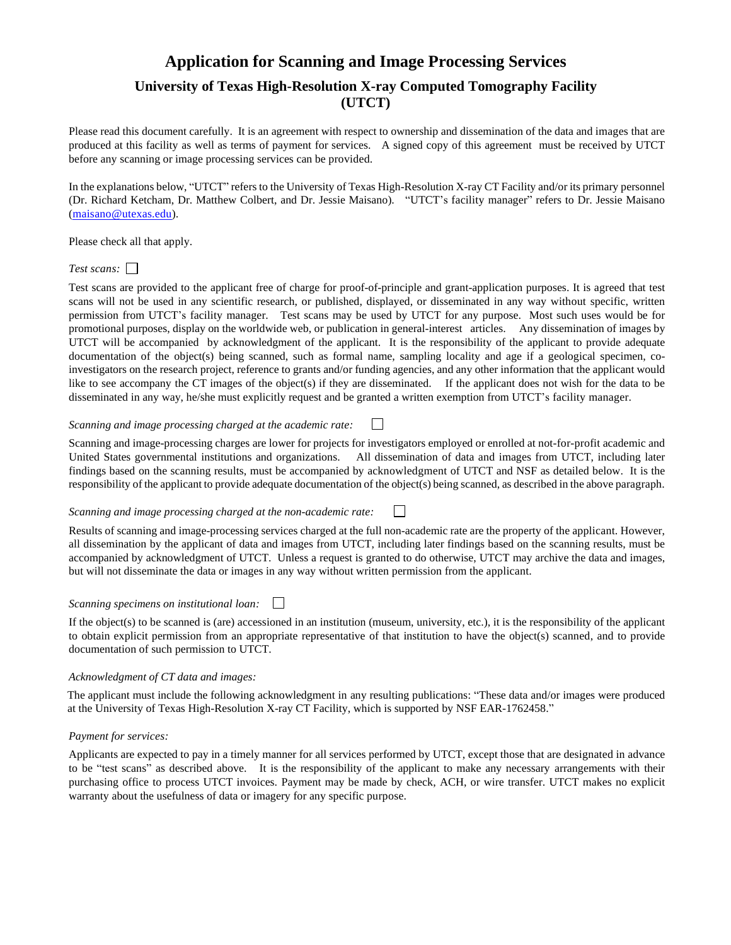# **Application for Scanning and Image Processing Services University of Texas High-Resolution X-ray Computed Tomography Facility (UTCT)**

Please read this document carefully. It is an agreement with respect to ownership and dissemination of the data and images that are produced at this facility as well as terms of payment for services. A signed copy of this agreement must be received by UTCT before any scanning or image processing services can be provided.

In the explanations below, "UTCT" refers to the University of Texas High-Resolution X-ray CT Facility and/or its primary personnel (Dr. Richard Ketcham, Dr. Matthew Colbert, and Dr. Jessie Maisano). "UTCT's facility manager" refers to Dr. Jessie Maisano [\(maisano@utexas.edu\)](mailto:maisano@utexas.edu).

Please check all that apply.

## *Test scans:*

Test scans are provided to the applicant free of charge for proof-of-principle and grant-application purposes. It is agreed that test scans will not be used in any scientific research, or published, displayed, or disseminated in any way without specific, written permission from UTCT's facility manager. Test scans may be used by UTCT for any purpose. Most such uses would be for promotional purposes, display on the worldwide web, or publication in general-interest articles. Any dissemination of images by UTCT will be accompanied by acknowledgment of the applicant. It is the responsibility of the applicant to provide adequate documentation of the object(s) being scanned, such as formal name, sampling locality and age if a geological specimen, coinvestigators on the research project, reference to grants and/or funding agencies, and any other information that the applicant would like to see accompany the CT images of the object(s) if they are disseminated. If the applicant does not wish for the data to be disseminated in any way, he/she must explicitly request and be granted a written exemption from UTCT's facility manager.

#### *Scanning and image processing charged at the academic rate:*  $\Box$

Scanning and image-processing charges are lower for projects for investigators employed or enrolled at not-for-profit academic and United States governmental institutions and organizations. All dissemination of data and images from UTCT, including later findings based on the scanning results, must be accompanied by acknowledgment of UTCT and NSF as detailed below. It is the responsibility of the applicant to provide adequate documentation of the object(s) being scanned, as described in the above paragraph.

#### *Scanning and image processing charged at the non-academic rate:* П

Results of scanning and image-processing services charged at the full non-academic rate are the property of the applicant. However, all dissemination by the applicant of data and images from UTCT, including later findings based on the scanning results, must be accompanied by acknowledgment of UTCT. Unless a request is granted to do otherwise, UTCT may archive the data and images, but will not disseminate the data or images in any way without written permission from the applicant.

### *Scanning specimens on institutional loan:*

If the object(s) to be scanned is (are) accessioned in an institution (museum, university, etc.), it is the responsibility of the applicant to obtain explicit permission from an appropriate representative of that institution to have the object(s) scanned, and to provide documentation of such permission to UTCT.

### *Acknowledgment of CT data and images:*

The applicant must include the following acknowledgment in any resulting publications: "These data and/or images were produced at the University of Texas High-Resolution X-ray CT Facility, which is supported by NSF EAR-1762458."

### *Payment for services:*

Applicants are expected to pay in a timely manner for all services performed by UTCT, except those that are designated in advance to be "test scans" as described above. It is the responsibility of the applicant to make any necessary arrangements with their purchasing office to process UTCT invoices. Payment may be made by check, ACH, or wire transfer. UTCT makes no explicit warranty about the usefulness of data or imagery for any specific purpose.